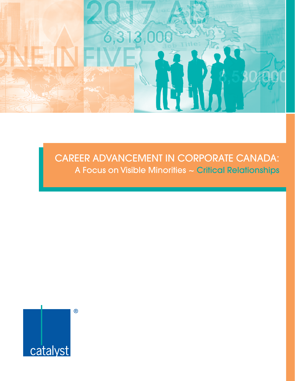

# CAREER ADVANCEMENT IN CORPORATE CANADA: A Focus on Visible Minorities ~ Critical Relationships

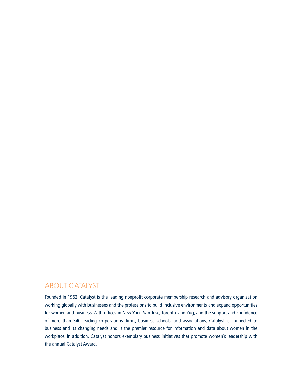# ABOUT CATALYST

Founded in 1962, Catalyst is the leading nonprofit corporate membership research and advisory organization working globally with businesses and the professions to build inclusive environments and expand opportunities for women and business. With offices in New York, San Jose, Toronto, and Zug, and the support and confidence of more than 340 leading corporations, firms, business schools, and associations, Catalyst is connected to business and its changing needs and is the premier resource for information and data about women in the workplace. In addition, Catalyst honors exemplary business initiatives that promote women's leadership with the annual Catalyst Award.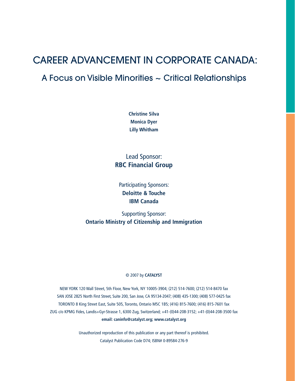# CAREER ADVANCEMENT IN CORPORATE CANADA:

# A Focus on Visible Minorities ~ Critical Relationships

**Christine Silva Monica Dyer Lilly Whitham**

Lead Sponsor: **RBC Financial Group**

Participating Sponsors: **Deloitte & Touche IBM Canada**

Supporting Sponsor: **Ontario Ministry of Citizenship and Immigration**

#### © 2007 by **CATALYST**

NEW YORK 120 Wall Street, 5th Floor, New York, NY 10005-3904; (212) 514-7600; (212) 514-8470 fax SAN JOSE 2825 North First Street, Suite 200, San Jose, CA 95134-2047; (408) 435-1300; (408) 577-0425 fax TORONTO 8 King Street East, Suite 505, Toronto, Ontario M5C 1B5; (416) 815-7600; (416) 815-7601 fax ZUG c/o KPMG Fides, Landis+Gyr-Strasse 1, 6300 Zug, Switzerland; +41-(0)44-208-3152; +41-(0)44-208-3500 fax **email: caninfo@catalyst.org; www.catalyst.org**

> Unauthorized reproduction of this publication or any part thereof is prohibited. Catalyst Publication Code D74; ISBN# 0-89584-276-9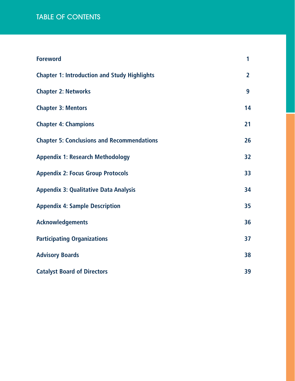# table of contents

| <b>Foreword</b>                                     | 1              |
|-----------------------------------------------------|----------------|
| <b>Chapter 1: Introduction and Study Highlights</b> | $\overline{2}$ |
| <b>Chapter 2: Networks</b>                          | 9              |
| <b>Chapter 3: Mentors</b>                           | 14             |
| <b>Chapter 4: Champions</b>                         | 21             |
| <b>Chapter 5: Conclusions and Recommendations</b>   | 26             |
| <b>Appendix 1: Research Methodology</b>             | 32             |
| <b>Appendix 2: Focus Group Protocols</b>            | 33             |
| <b>Appendix 3: Qualitative Data Analysis</b>        | 34             |
| <b>Appendix 4: Sample Description</b>               | 35             |
| <b>Acknowledgements</b>                             | 36             |
| <b>Participating Organizations</b>                  | 37             |
| <b>Advisory Boards</b>                              | 38             |
| <b>Catalyst Board of Directors</b>                  | 39             |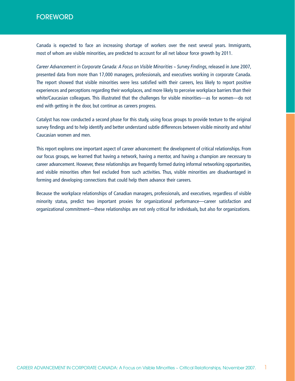# FOREWORD

Canada is expected to face an increasing shortage of workers over the next several years. Immigrants, most of whom are visible minorities, are predicted to account for all net labour force growth by 2011.

*Career Advancement in Corporate Canada: A Focus on Visible Minorities ~ Survey Findings*, released in June 2007, presented data from more than 17,000 managers, professionals, and executives working in corporate Canada. The report showed that visible minorities were less satisfied with their careers, less likely to report positive experiences and perceptions regarding their workplaces, and more likely to perceive workplace barriers than their white/Caucasian colleagues. This illustrated that the challenges for visible minorities—as for women—do not end with getting in the door, but continue as careers progress.

Catalyst has now conducted a second phase for this study, using focus groups to provide texture to the original survey findings and to help identify and better understand subtle differences between visible minority and white/ Caucasian women and men.

This report explores one important aspect of career advancement: the development of critical relationships. From our focus groups, we learned that having a network, having a mentor, and having a champion are necessary to career advancement. However, these relationships are frequently formed during informal networking opportunities, and visible minorities often feel excluded from such activities. Thus, visible minorities are disadvantaged in forming and developing connections that could help them advance their careers.

Because the workplace relationships of Canadian managers, professionals, and executives, regardless of visible minority status, predict two important proxies for organizational performance—career satisfaction and organizational commitment—these relationships are not only critical for individuals, but also for organizations.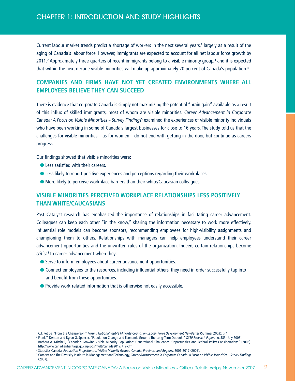Current labour market trends predict a shortage of workers in the next several years,<sup>1</sup> largely as a result of the aging of Canada's labour force. However, immigrants are expected to account for all net labour force growth by 2011.<sup>2</sup> Approximately three-quarters of recent immigrants belong to a visible minority group,<sup>3</sup> and it is expected that within the next decade visible minorities will make up approximately 20 percent of Canada's population.<sup>4</sup>

# **COMPANIES AND FIRMS HAVE NOT YET CREATED ENVIRONMENTS WHERE ALL EMPLOYEES BELIEVE THEY CAN SUCCEED**

There is evidence that corporate Canada is simply not maximizing the potential "brain gain" available as a result of this influx of skilled immigrants, most of whom are visible minorities. *Career Advancement in Corporate*  Canada: A Focus on Visible Minorities ~ Survey Findings<sup>5</sup> examined the experiences of visible minority individuals who have been working in some of Canada's largest businesses for close to 16 years. The study told us that the challenges for visible minorities—as for women—do not end with getting in the door, but continue as careers progress.

Our findings showed that visible minorities were:

- Less satisfied with their careers.
- **Example 2** Less likely to report positive experiences and perceptions regarding their workplaces.
- More likely to perceive workplace barriers than their white/Caucasian colleagues.

## **VISIBLE MINORITIES PERCEIVED WORKPLACE RELATIONSHIPS LESS POSITIVELY THAN WHITE/CAUCASIANS**

Past Catalyst research has emphasized the importance of relationships in facilitating career advancement. Colleagues can keep each other "in the know," sharing the information necessary to work more effectively. Influential role models can become sponsors, recommending employees for high-visibility assignments and championing them to others. Relationships with managers can help employees understand their career advancement opportunities and the unwritten rules of the organization. Indeed, certain relationships become *critical* to career advancement when they:

- Serve to inform employees about career advancement opportunities.
- l Connect employees to the resources, including influential others, they need in order successfully tap into and benefit from these opportunities.
- **•** Provide work-related information that is otherwise not easily accessible.

<sup>1</sup> C.I. Petros, "From the Chairperson," *Forum: National Visible Minority Council on Labour Force Development Newsletter* (Summer 2003): p. 1.

<sup>2</sup> Frank T. Denton and Byron G. Spencer, "Population Change and Economic Growth: The Long-Term Outlook," *QSEP Research Paper*, no. 383 (July 2003). <sup>3</sup> Barbara A. Mitchell, "Canada's Growing Visible Minority Population: Generational Challenges: Opportunities and Federal Policy Considerations" (2005). http://www.canadianheritage.gc.ca/progs/multi/canada2017/7\_e.cfm

<sup>4</sup> Statistics Canada, *Population Projections of Visible Minority Groups, Canada, Provinces and Regions*, 2001-2017 (2005).

<sup>5</sup> Catalyst and The Diversity Institute in Management and Technology, *Career Advancement in Corporate Canada: A Focus on Visible Minorities ~ Survey Findings*  (2007).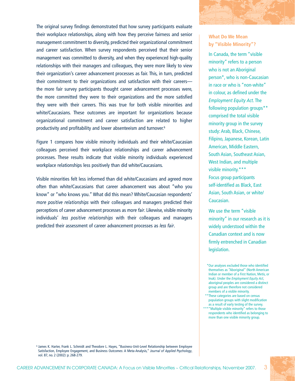The original survey findings demonstrated that how survey participants evaluate their workplace relationships, along with how they perceive fairness and senior management commitment to diversity, predicted their organizational commitment and career satisfaction. When survey respondents perceived that their senior management was committed to diversity, and when they experienced high-quality relationships with their managers and colleagues, they were more likely to view their organization's career advancement processes as fair. This, in turn, predicted their commitment to their organizations and satisfaction with their careers the more fair survey participants thought career advancement processes were, the more committed they were to their organizations and the more satisfied they were with their careers. This was true for both visible minorities and white/Caucasians. These outcomes are important for organizations because organizational commitment and career satisfaction are related to higher productivity and profitability and lower absenteeism and turnover.6

Figure 1 compares how visible minority individuals and their white/Caucasian colleagues perceived their workplace relationships and career advancement processes. These results indicate that visible minority individuals experienced workplace relationships less positively than did white/Caucasians.

Visible minorities felt less informed than did white/Caucasians and agreed more often than white/Caucasians that career advancement was about "who you know" or "who knows you." What did this mean? White/Caucasian respondents' *more positive relationships* with their colleagues and managers predicted their perceptions of career advancement processes as *more fair*. Likewise, visible minority individuals' *less positive relationships* with their colleagues and managers predicted their assessment of career advancement processes as *less fair*.

## **What Do We Mean by "Visible Minority"?**

In Canada, the term "visible minority" refers to a person who is not an Aboriginal person\*, who is non-Caucasian in race or who is "non-white" in colour, as defined under the *Employment Equity Act*. The following population groups\*\* comprised the total visible minority group in the survey study: Arab, Black, Chinese, Filipino, Japanese, Korean, Latin American, Middle Eastern, South Asian, Southeast Asian, West Indian, and multiple visible minority.\*\*\* Focus group participants self-identified as Black, East Asian, South Asian, or white/ Caucasian.

We use the term "visible minority" in our research as it is widely understood within the Canadian context and is now firmly entrenched in Canadian legislation.

\*Our analyses excluded those who identified themselves as "Aboriginal" (North American Indian or member of a First Nation, Metis, or Inuk). Under the *Employment Equity Act*, aboriginal peoples are considered a distinct group and are therefore not considered members of a visible minority.

\*\*These categories are based on census population groups with slight modification as a result of early testing of the survey. \*\*\*"Multiple visible minority" refers to those respondents who identified as belonging to more than one visible minority group.

<sup>6</sup> James K. Harter, Frank L. Schmidt and Theodore L. Hayes, "Business-Unit-Level Relationship between Employee Satisfaction, Employee Engagement, and Business Outcomes: A Meta-Analysis," *Journal of Applied Psychology*, vol. 87, no. 2 (2002): p. 268-279.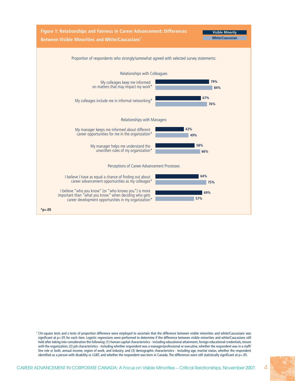

<sup>7</sup> Chi-square tests and z-tests of proportion difference were employed to ascertain that the difference between visible minorities and white/Caucasians was significant at p<.05 for each item. Logistic regressions were performed to determine if the difference between visible minorities and white/Caucasians still held after taking into consideration the following: (1) human capital characteristics - including educational attainment, foreign educational credentials, tenure with the organization; (2) job characteristics - including whether respondent was a manager/professional or executive, whether the respondent was in a staff/ line role or both, annual income, region of work, and industry; and (3) demographic characteristics - including age, marital status, whether the respondent identified as a person with disability or LGBT, and whether the respondent was born in Canada. The differences were still statistically significant at p<.05.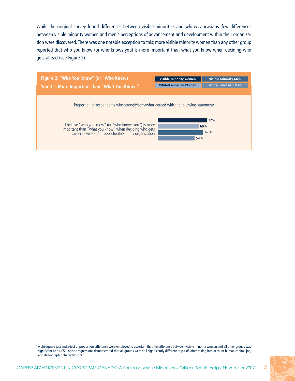While the original survey found differences between visible minorities and white/Caucasians, few differences between visible minority women and men's perceptions of advancement and development within their organization were discovered. There was one notable exception to this: more visible minority women than any other group reported that who you know (or who knows you) is more important than what you know when deciding who gets ahead (see Figure 2).



<sup>8</sup> A chi-square test and z-test of proportion difference were employed to ascertain that the difference between visible minority women and all other groups was significant at p<.05. Logistic regressions demonstrated that all groups were still significantly different at p<.05 after taking into account human capital, job, and demographic characteristics.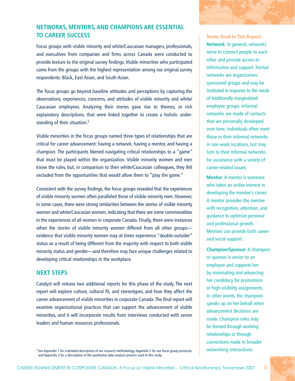## **NETWORKS, MENTORS, AND CHAMPIONS ARE ESSENTIAL TO CAREER SUCCESS**

Focus groups with visible minority and white/Caucasian managers, professionals, and executives from companies and firms across Canada were conducted to provide texture to the original survey findings. Visible minorities who participated came from the groups with the highest representation among our original survey respondents: Black, East Asian, and South Asian.

The focus groups go beyond baseline attitudes and perceptions by capturing the observations, experiences, concerns, and attitudes of visible minority and white/ Caucasian employees. Analyzing their stories gave rise to themes, or rich explanatory descriptions, that were linked together to create a holistic understanding of their situation.<sup>9</sup>

Visible minorities in the focus groups named three types of relationships that are critical for career advancement: having a network, having a mentor, and having a champion. The participants likened navigating critical relationships to a "game" that must be played within the organization. Visible minority women and men know the rules, but, in comparison to their white/Caucasian colleagues, they felt excluded from the opportunities that would allow them to "play the game."

Consistent with the survey findings, the focus groups revealed that the experiences of visible minority women often paralleled those of visible minority men. However, in some cases, there were strong similarities between the stories of visible minority women and white/Caucasian women, indicating that there are some commonalities in the experiences of all women in corporate Canada. Finally, there were instances when the stories of visible minority women differed from all other groups evidence that visible minority women may at times experience "double-outsider" status as a result of being different from the majority with respect to both visible minority status and gender—and therefore may face unique challenges related to developing critical relationships in the workplace.

## **NEXT STEPS**

Catalyst will release two additional reports for this phase of the study. The next report will explore culture, cultural fit, and stereotypes, and how they affect the career advancement of visible minorities in corporate Canada. The final report will examine organizational practices that can support the advancement of visible minorities, and it will incorporate results from interviews conducted with senior leaders and human resources professionals.

**Terms Used in This Report. Network**: In general, networks serve to connect people to each other and provide access to information and support. Formal networks are organizationsponsored groups and may be instituted in response to the needs of traditionally marginalized employee groups. Informal networks are made of contacts that are personally developed over time; individuals often meet those in their informal networks in non-work locations, but may turn to their informal networks for assistance with a variety of career-related issues.

**Mentor**: A mentor is someone who takes an active interest in developing the mentee's career. A mentor provides the mentee with recognition, attention, and guidance to optimize personal and professional growth. Mentors can provide both career and social support.

**Champion/Sponsor**: A champion or sponsor is senior to an employee and supports her by nominating and advancing her candidacy for promotions or high-visibility assignments. In other words, the champion speaks up on her behalf when advancement decisions are made. Champion roles may be formed through working relationships or through connections made in broader

<sup>9</sup> See Appendix 1 for a detailed description of our research methodology, Appendix 2 for our focus group protocols, networking interactions. and Appendix 3 for a description of the qualitative data analysis process used in this study.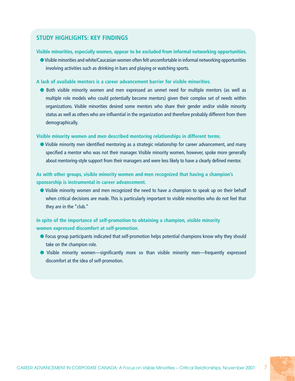## **STUDY HIGHLIGHTS: KEY FINDINGS**

#### **Visible minorities, especially women, appear to be excluded from informal networking opportunities.**

l Visible minorities and white/Caucasian women often felt uncomfortable in informal networking opportunities involving activities such as drinking in bars and playing or watching sports.

#### **A lack of available mentors is a career advancement barrier for visible minorities.**

l Both visible minority women and men expressed an unmet need for multiple mentors (as well as multiple role models who could potentially become mentors) given their complex set of needs within organizations. Visible minorities desired some mentors who share their gender and/or visible minority status as well as others who are influential in the organization and therefore probably different from them demographically.

#### **Visible minority women and men described mentoring relationships in different terms.**

• Visible minority men identified mentoring as a strategic relationship for career advancement, and many specified a mentor who was not their manager. Visible minority women, however, spoke more generally about mentoring-style support from their managers and were less likely to have a clearly defined mentor.

## **As with other groups, visible minority women and men recognized that having a champion's sponsorship is instrumental in career advancement.**

l Visible minority women and men recognized the need to have a champion to speak up on their behalf when critical decisions are made. This is particularly important to visible minorities who do not feel that they are in the "club."

## **In spite of the importance of self-promotion to obtaining a champion, visible minority women expressed discomfort at self-promotion.**

- **•** Focus group participants indicated that self-promotion helps potential champions know why they should take on the champion role.
- l Visible minority women—significantly more so than visible minority men—frequently expressed discomfort at the idea of self-promotion.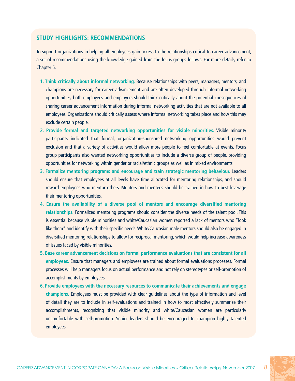## **STUDY HIGHLIGHTS: RECOMMENDATIONS**

To support organizations in helping all employees gain access to the relationships critical to career advancement, a set of recommendations using the knowledge gained from the focus groups follows. For more details, refer to Chapter 5.

- **1. Think critically about informal networking.** Because relationships with peers, managers, mentors, and champions are necessary for career advancement and are often developed through informal networking opportunities, both employees and employers should think critically about the potential consequences of sharing career advancement information during informal networking activities that are not available to all employees. Organizations should critically assess where informal networking takes place and how this may exclude certain people.
- **2. Provide formal and targeted networking opportunities for visible minorities.** Visible minority participants indicated that formal, organization-sponsored networking opportunities would prevent exclusion and that a variety of activities would allow more people to feel comfortable at events. Focus group participants also wanted networking opportunities to include a diverse group of people, providing opportunities for networking within gender or racial/ethnic groups as well as in mixed environments.
- **3. Formalize mentoring programs and encourage and train strategic mentoring behaviour.** Leaders should ensure that employees at all levels have time allocated for mentoring relationships, and should reward employees who mentor others. Mentors and mentees should be trained in how to best leverage their mentoring opportunities.
- **4. Ensure the availability of a diverse pool of mentors and encourage diversified mentoring relationships.** Formalized mentoring programs should consider the diverse needs of the talent pool. This is essential because visible minorities and white/Caucasian women reported a lack of mentors who "look like them" and identify with their specific needs. White/Caucasian male mentors should also be engaged in diversified mentoring relationships to allow for reciprocal mentoring, which would help increase awareness of issues faced by visible minorities.
- **5. Base career advancement decisions on formal performance evaluations that are consistent for all employees.** Ensure that managers and employees are trained about formal evaluations processes. Formal processes will help managers focus on actual performance and not rely on stereotypes or self-promotion of accomplishments by employees.
- **6. Provide employees with the necessary resources to communicate their achievements and engage champions.** Employees must be provided with clear guidelines about the type of information and level of detail they are to include in self-evaluations and trained in how to most effectively summarize their accomplishments, recognizing that visible minority and white/Caucasian women are particularly uncomfortable with self-promotion. Senior leaders should be encouraged to champion highly talented employees.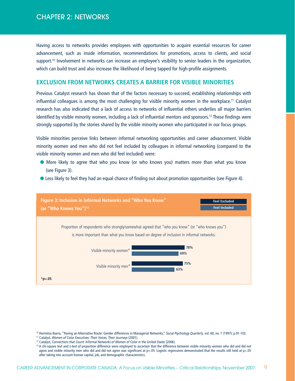Having access to networks provides employees with opportunities to acquire essential resources for career advancement, such as inside information, recommendations for promotions, access to clients, and social support.<sup>10</sup> Involvement in networks can increase an employee's visibility to senior leaders in the organization, which can build trust and also increase the likelihood of being tapped for high-profile assignments.

#### **EXCLUSION FROM NETWORKS CREATES A BARRIER FOR VISIBLE MINORITIES**

Previous Catalyst research has shown that of the factors necessary to succeed, establishing relationships with influential colleagues is among the most challenging for visible minority women in the workplace.11 Catalyst research has also indicated that a lack of access to networks of influential others underlies all major barriers identified by visible minority women, including a lack of influential mentors and sponsors.<sup>12</sup> These findings were strongly supported by the stories shared by the visible minority women who participated in our focus groups.

Visible minorities perceive links between informal networking opportunities and career advancement. Visible minority women and men who did not feel included by colleagues in informal networking (compared to the visible minority women and men who did feel included) were:

- **•** More likely to agree that who you know (or who knows you) matters more than what you know (see Figure 3).
- **If** Less likely to feel they had an equal chance of finding out about promotion opportunities (see Figure 4).



<sup>&</sup>lt;sup>10</sup> Herminia Ibarra, "Paving an Alternative Route: Gender differences in Managerial Networks," Social Psychology Quarterly, vol. 60, no. 1 (1997): p.91-102.

<sup>11</sup> Catalyst, *Women of Color Executives: Their Voices, Their Journeys* (2001).

<sup>12</sup> Catalyst, *Connections that Count: Informal Networks of Women of Color in the United States* (2006).

<sup>&</sup>lt;sup>13</sup> A chi-square test and z-test of proportion difference were employed to ascertain that the difference between visible minority women who did and did not agree and visible minority men who did and did not agree was significant at  $p<0.05$ . Logistic regressions demonstrated that the results still held at  $p<0.05$ after taking into account human capital, job, and demographic characteristics.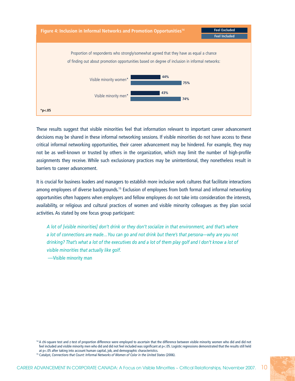

These results suggest that visible minorities feel that information relevant to important career advancement decisions may be shared in these informal networking sessions. If visible minorities do not have access to these critical informal networking opportunities, their career advancement may be hindered. For example, they may not be as well-known or trusted by others in the organization, which may limit the number of high-profile assignments they receive. While such exclusionary practices may be unintentional, they nonetheless result in barriers to career advancement.

It is crucial for business leaders and managers to establish more inclusive work cultures that facilitate interactions among employees of diverse backgrounds.15 Exclusion of employees from both formal and informal networking opportunities often happens when employers and fellow employees do not take into consideration the interests, availability, or religious and cultural practices of women and visible minority colleagues as they plan social activities. As stated by one focus group participant:

*A lot of [visible minorities] don't drink or they don't socialize in that environment, and that's where a lot of connections are made…You can go and not drink but there's that persona—why are you not drinking? That's what a lot of the executives do and a lot of them play golf and I don't know a lot of visible minorities that actually like golf.*

—Visible minority man

<sup>&</sup>lt;sup>14</sup> A chi-square test and z-test of proportion difference were employed to ascertain that the difference between visible minority women who did and did not feel included and visible minority men who did and did not feel included was significant at p<.05. Logistic regressions demonstrated that the results still held at p<.05 after taking into account human capital, job, and demographic characteristics.

<sup>&</sup>lt;sup>15</sup> Catalyst, Connections that Count: Informal Networks of Women of Color in the United States (2006).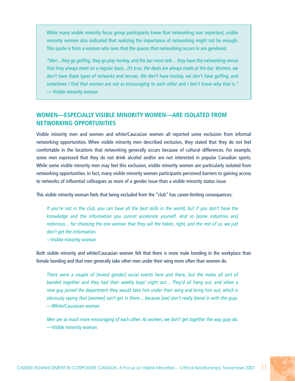While many visible minority focus group participants knew that networking was important, visible minority women also indicated that realizing the importance of networking might not be enough. This quote is from a woman who sees that the spaces that networking occurs in are gendered.

*"Men…they go golfing, they go play hockey, and the bar room talk… they have this networking venue that they always meet on a regular basis…It's true, the deals are always made at the bar. Women, we don't have these types of networks and venues. We don't have hockey, we don't have golfing, and sometimes I find that women are not as encouraging to each other and I don't know why that is."* — Visible minority woman

## **WOMEN—ESPECIALLY VISIBLE MINORITY WOMEN—ARE ISOLATED FROM NETWORKING OPPORTUNITIES**

Visible minority men and women and white/Caucasian women all reported some exclusion from informal networking opportunities. When visible minority men described exclusion, they stated that they do not feel comfortable in the locations that networking generally occurs because of cultural differences. For example, some men expressed that they do not drink alcohol and/or are not interested in popular Canadian sports. While some visible minority men may feel this exclusion, visible minority women are particularly isolated from networking opportunities. In fact, many visible minority women participants perceived barriers to gaining access to networks of influential colleagues as more of a gender issue than a visible minority status issue.

This visible minority woman feels that being excluded from the "club" has career-limiting consequences:

*If you're not in the club, you can have all the best skills in the world, but if you don't have the knowledge and the information you cannot accelerate yourself. And so [some industries are] notorious… for choosing the one woman that they call the token, right, and the rest of us, we just don't get the information.*

*—*Visible minority woman

Both visible minority and white/Caucasian women felt that there is more male bonding in the workplace than female bonding and that men generally take other men under their wing more often than women do.

*There were a couple of [mixed gender] social events here and there, but the males all sort of banded together and they had their weekly boys' night out… They'd all hang out, and when a new guy joined the department they would take him under their wing and bring him out, which is obviously saying that [women] can't get in there… because [we] don't really blend in with the guys.*  —White/Caucasian woman

*Men are so much more encouraging of each other. As women, we don't get together the way guys do.*  —Visible minority woman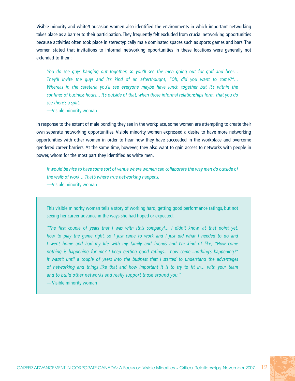Visible minority and white/Caucasian women also identified the environments in which important networking takes place as a barrier to their participation. They frequently felt excluded from crucial networking opportunities because activities often took place in stereotypically male dominated spaces such as sports games and bars. The women stated that invitations to informal networking opportunities in these locations were generally not extended to them:

*You do see guys hanging out together, so you'll see the men going out for golf and beer… They'll invite the guys and it's kind of an afterthought, "Oh, did you want to come?"… Whereas in the cafeteria you'll see everyone maybe have lunch together but it's within the confines of business hours… It's outside of that, when those informal relationships form, that you do see there's a split.*

—Visible minority woman

In response to the extent of male bonding they see in the workplace, some women are attempting to create their own separate networking opportunities. Visible minority women expressed a desire to have more networking opportunities with other women in order to hear how they have succeeded in the workplace and overcome gendered career barriers. At the same time, however, they also want to gain access to networks with people in power, whom for the most part they identified as white men.

*It would be nice to have some sort of venue where women can collaborate the way men do outside of the walls of work… That's where true networking happens.* —Visible minority woman

This visible minority woman tells a story of working hard, getting good performance ratings, but not seeing her career advance in the ways she had hoped or expected.

*"The first couple of years that I was with [this company]… I didn't know, at that point yet, how to play the game right, so I just came to work and I just did what I needed to do and I went home and had my life with my family and friends and I'm kind of like, "How come nothing is happening for me? I keep getting good ratings… how come…nothing's happening?" It wasn't until a couple of years into the business that I started to understand the advantages of networking and things like that and how important it is to try to fit in… with your team and to build other networks and really support those around you."*

*—* Visible minority woman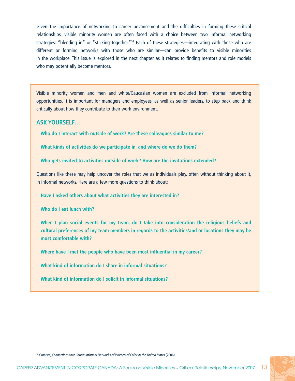Given the importance of networking to career advancement and the difficulties in forming these critical relationships, visible minority women are often faced with a choice between two informal networking strategies: "blending in" or "sticking together."<sup>16</sup> Each of these strategies—integrating with those who are different or forming networks with those who are similar—can provide benefits to visible minorities in the workplace. This issue is explored in the next chapter as it relates to finding mentors and role models who may potentially become mentors.

Visible minority women and men and white/Caucasian women are excluded from informal networking opportunities. It is important for managers and employees, as well as senior leaders, to step back and think critically about how they contribute to their work environment.

#### **Ask yourself…**

**Who do I interact with outside of work? Are these colleagues similar to me?** 

**What kinds of activities do we participate in, and where do we do them?**

**Who gets invited to activities outside of work? How are the invitations extended?**

Questions like these may help uncover the roles that we as individuals play, often without thinking about it, in informal networks. Here are a few more questions to think about:

**Have I asked others about what activities they are interested in?**

**Who do I eat lunch with?**

**When I plan social events for my team, do I take into consideration the religious beliefs and cultural preferences of my team members in regards to the activities/and or locations they may be most comfortable with?** 

**Where have I met the people who have been most influential in my career?**

**What kind of information do I share in informal situations?**

**What kind of information do I solicit in informal situations?**

16 Catalyst, *Connections that Count: Informal Networks of Women of Color in the United States* (2006).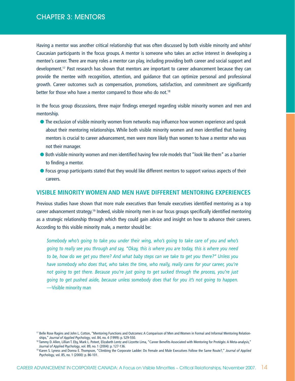Having a mentor was another critical relationship that was often discussed by both visible minority and white/ Caucasian participants in the focus groups. A mentor is someone who takes an active interest in developing a mentee's career. There are many roles a mentor can play, including providing both career and social support and development.<sup>17</sup> Past research has shown that mentors are important to career advancement because they can provide the mentee with recognition, attention, and guidance that can optimize personal and professional growth. Career outcomes such as compensation, promotions, satisfaction, and commitment are significantly better for those who have a mentor compared to those who do not.<sup>18</sup>

In the focus group discussions, three major findings emerged regarding visible minority women and men and mentorship.

- **•** The exclusion of visible minority women from networks may influence how women experience and speak about their mentoring relationships. While both visible minority women and men identified that having mentors is crucial to career advancement, men were more likely than women to have a mentor who was not their manager.
- Both visible minority women and men identified having few role models that "look like them" as a barrier to finding a mentor.
- l Focus group participants stated that they would like different mentors to support various aspects of their careers.

### **VISIBLE MINORITY WOMEN AND MEN HAVE DIFFERENT MENTORING EXPERIENCES**

Previous studies have shown that more male executives than female executives identified mentoring as a top career advancement strategy.19 Indeed, visible minority men in our focus groups specifically identified mentoring as a strategic relationship through which they could gain advice and insight on how to advance their careers. According to this visible minority male, a mentor should be:

*Somebody who's going to take you under their wing, who's going to take care of you and who's going to really see you through and say, "Okay, this is where you are today, this is where you need to be, how do we get you there? And what baby steps can we take to get you there?" Unless you have somebody who does that, who takes the time, who really, really cares for your career, you're not going to get there. Because you're just going to get sucked through the process, you're just going to get pushed aside, because unless somebody does that for you it's not going to happen.*  —Visible minority man

<sup>&</sup>lt;sup>17</sup> Belle Rose Ragins and John L. Cotton, "Mentoring Functions and Outcomes: A Comparison of Men and Women in Formal and Informal Mentoring Relationships," *Journal of Applied Psychology*, vol. 84, no. 4 (1999): p. 529-550.

<sup>18</sup> Tammy D. Allen, Lillian T. Eby, Mark L. Poteet, Elizabeth Lentz and Lizzette Lima, "Career Benefits Associated with Mentoring for Protégés: A Meta-analysis," *Journal of Applied Psychology*, vol. 89, no. 1 (2004): p. 127-136.

<sup>19</sup> Karen S. Lyness and Donna E. Thompson, "Climbing the Corporate Ladder: Do Female and Male Executives Follow the Same Route?," *Journal of Applied Psychology*, vol. 85, no. 1 (2000): p. 86-101.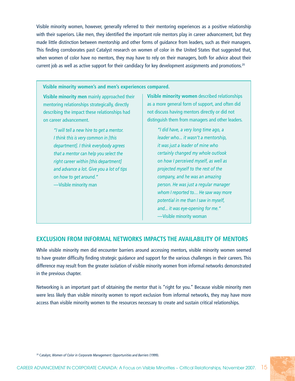Visible minority women, however, generally referred to their mentoring experiences as a positive relationship with their superiors. Like men, they identified the important role mentors play in career advancement, but they made little distinction between mentorship and other forms of guidance from leaders, such as their managers. This finding corroborates past Catalyst research on women of color in the United States that suggested that, when women of color have no mentors, they may have to rely on their managers, both for advice about their current job as well as active support for their candidacy for key development assignments and promotions.<sup>20</sup>

#### **Visible minority women's and men's experiences compared.**

**Visible minority men** mainly approached their mentoring relationships strategically, directly describing the impact these relationships had on career advancement.

> *"I will tell a new hire to get a mentor. I think this is very common in [this department]. I think everybody agrees that a mentor can help you select the right career within [this department] and advance a lot. Give you a lot of tips on how to get around."* —Visible minority man

**Visible minority women** described relationships as a more general form of support, and often did not discuss having mentors directly or did not distinguish them from managers and other leaders.

> *"I did have, a very long time ago, a leader who... it wasn't a mentorship, it was just a leader of mine who certainly changed my whole outlook on how I perceived myself, as well as projected myself to the rest of the company, and he was an amazing person. He was just a regular manager whom I reported to… He saw way more potential in me than I saw in myself, and... it was eye-opening for me."* —Visible minority woman

### **EXCLUSION FROM INFORMAL NETWORKS IMPACTS THE AVAILABILITY OF MENTORS**

While visible minority men did encounter barriers around accessing mentors, visible minority women seemed to have greater difficulty finding strategic guidance and support for the various challenges in their careers. This difference may result from the greater isolation of visible minority women from informal networks demonstrated in the previous chapter.

Networking is an important part of obtaining the mentor that is "right for you." Because visible minority men were less likely than visible minority women to report exclusion from informal networks, they may have more access than visible minority women to the resources necessary to create and sustain critical relationships.

<sup>20</sup> Catalyst, *Women of Color in Corporate Management: Opportunities and Barriers* (1999).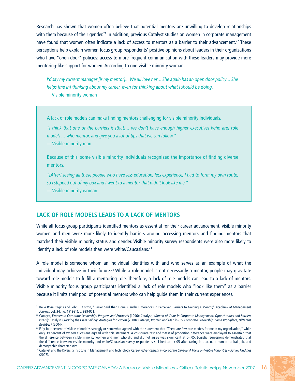Research has shown that women often believe that potential mentors are unwilling to develop relationships with them because of their gender.<sup>21</sup> In addition, previous Catalyst studies on women in corporate management have found that women often indicate a lack of access to mentors as a barrier to their advancement.<sup>22</sup> These perceptions help explain women focus group respondents' positive opinions about leaders in their organizations who have "open door" policies: access to more frequent communication with these leaders may provide more mentoring-like support for women. According to one visible minority woman:

*I'd say my current manager [is my mentor]... We all love her… She again has an open door policy… She helps [me in] thinking about my career, even for thinking about what I should be doing.* —Visible minority woman

A lack of role models can make finding mentors challenging for visible minority individuals.

*"I think that one of the barriers is [that]… we don't have enough higher executives [who are] role models … who mentor, and give you a lot of tips that we can follow."* 

*—* Visible minority man

Because of this, some visible minority individuals recognized the importance of finding diverse mentors.

*"[After] seeing all these people who have less education, less experience, I had to form my own route, so I stepped out of my box and I went to a mentor that didn't look like me."*

*—* Visible minority woman

## **LACK OF ROLE MODELS LEADS TO A LACK OF MENTORS**

While all focus group participants identified mentors as essential for their career advancement, visible minority women and men were more likely to identify barriers around accessing mentors and finding mentors that matched their visible minority status and gender. Visible minority survey respondents were also more likely to identify a lack of role models than were white/Caucasians.<sup>23</sup>

A role model is someone whom an individual identifies with and who serves as an example of what the individual may achieve in their future.<sup>24</sup> While a role model is not necessarily a mentor, people may gravitate toward role models to fulfill a mentoring role. Therefore, a lack of role models can lead to a lack of mentors. Visible minority focus group participants identified a lack of role models who "look like them" as a barrier because it limits their pool of potential mentors who can help guide them in their current experiences.

<sup>21</sup> Belle Rose Ragins and John L. Cotton, "Easier Said Than Done: Gender Differences in Perceived Barriers to Gaining a Mentor," *Academy of Management Journal*, vol. 34, no. 4 (1991): p. 939-951.

<sup>22</sup> Catalyst, *Women in Corporate Leadership: Progress and Prospects* (1996): Catalyst, *Women of Color in Corporate Management: Opportunities and Barriers*  (1999): Catalyst, *Cracking the Glass Ceiling: Strategies for Success* (2000): Catalyst, *Women and Men in U.S. Corporate Leadership: Same Workplace, Different Realities?* (2004).

<sup>&</sup>lt;sup>23</sup> Fifty four percent of visible minorities strongly or somewhat agreed with the statement that "There are few role models for me in my organization," while only 39 percent of white/Caucasians agreed with this statement. A chi-square test and z-test of proportion difference were employed to ascertain that the difference between visible minority women and men who did and did not agree was significant at p<.05. Logistic regressions demonstrated that the difference between visible minority and white/Caucasian survey respondents still held at p<.05 after taking into account human capital, job, and demographic characteristics.

<sup>24</sup> Catalyst and The Diversity Institute in Management and Technology, *Career Advancement in Corporate Canada: A Focus on Visible Minorities ~ Survey Findings* (2007).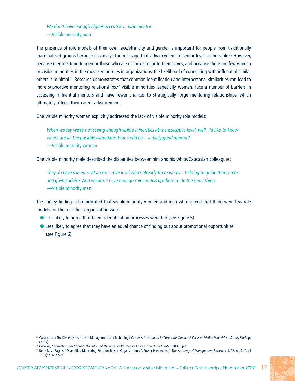*We don't have enough higher executives…who mentor.* —Visible minority man

The presence of role models of their own race/ethnicity and gender is important for people from traditionally marginalized groups because it conveys the message that advancement to senior levels is possible.<sup>25</sup> However, because mentors tend to mentor those who are or look similar to themselves, and because there are few women or visible minorities in the most senior roles in organizations, the likelihood of connecting with influential similar others is minimal.26 Research demonstrates that common identification and interpersonal similarities can lead to more supportive mentoring relationships.<sup>27</sup> Visible minorities, especially women, face a number of barriers in accessing influential mentors and have fewer chances to strategically forge mentoring relationships, which ultimately affects their career advancement.

One visible minority woman explicitly addressed the lack of visible minority role models:

*When we say we're not seeing enough visible minorities at the executive level, well, I'd like to know where are all the possible candidates that could be… a really good mentor?* —Visible minority woman

One visible minority male described the disparities between him and his white/Caucasian colleagues:

*They do have someone at an executive level who's already there who's… helping to guide that career and giving advice. And we don't have enough role models up there to do the same thing.* —Visible minority man

The survey findings also indicated that visible minority women and men who agreed that there were few role models for them in their organization were:

- **Example 2** Less likely to agree that talent identification processes were fair (see Figure 5).
- **•** Less likely to agree that they have an equal chance of finding out about promotional opportunities (see Figure 6).

<sup>25</sup> Catalyst and The Diversity Institute in Management and Technology, *Career Advancement in Corporate Canada: A Focus on Visible Minorities ~ Survey Findings* (2007).

<sup>&</sup>lt;sup>26</sup> Catalyst, Connections that Count: The Informal Networks of Women of Color in the United States (2006): p.4.

<sup>27</sup> Belle Rose Ragins, "Diversified Mentoring Relationships in Organizations: A Power Perspective," *The Academy of Management Review*, vol. 22, no. 2 (April 1997): p. 482-521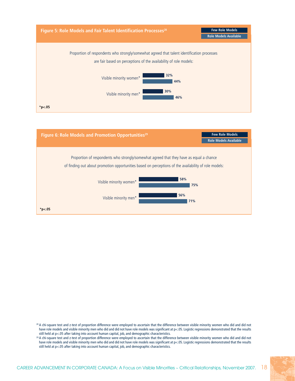



<sup>&</sup>lt;sup>28</sup> A chi-square test and z-test of proportion difference were employed to ascertain that the difference between visible minority women who did and did not have role models and visible minority men who did and did not have role models was significant at p<.05. Logistic regressions demonstrated that the results still held at p<.05 after taking into account human capital, job, and demographic characteristics.

<sup>&</sup>lt;sup>29</sup> A chi-square test and z-test of proportion difference were employed to ascertain that the difference between visible minority women who did and did not have role models and visible minority men who did and did not have role models was significant at p<.05. Logistic regressions demonstrated that the results still held at p<.05 after taking into account human capital, job, and demographic characteristics.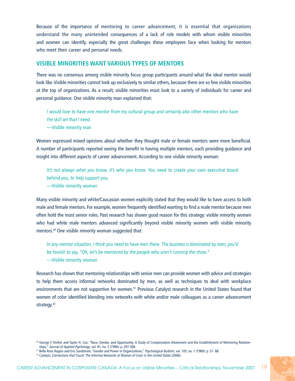Because of the importance of mentoring to career advancement, it is essential that organizations understand the many unintended consequences of a lack of role models with whom visible minorities and women can identify, especially the great challenges these employees face when looking for mentors who meet their career and personal needs.

### **VISIBLE MINORITIES WANT VARIOUS TYPES OF MENTORS**

There was no consensus among visible minority focus group participants around what the ideal mentor would look like. Visible minorities cannot look up exclusively to similar others, because there are so few visible minorities at the top of organizations. As a result, visible minorities must look to a variety of individuals for career and personal guidance. One visible minority man explained that:

*I would love to have one mentor from my cultural group and certainly also other mentors who have the skill set that I need.* —Visible minority man

Women expressed mixed opinions about whether they thought male or female mentors were more beneficial. A number of participants reported seeing the benefit in having multiple mentors, each providing guidance and insight into different aspects of career advancement. According to one visible minority woman:

*It's not always what you know, it's who you know. You need to create your own executive board behind you, to help support you.*

—Visible minority woman

Many visible minority and white/Caucasian women explicitly stated that they would like to have access to both male and female mentors. For example, women frequently identified wanting to find a male mentor because men often hold the most senior roles. Past research has shown good reason for this strategy: visible minority women who had white male mentors advanced significantly beyond visible minority women with visible minority mentors.<sup>30</sup> One visible minority woman suggested that:

*In any mentor situation, I think you need to have men there. The business is dominated by men; you'd be foolish to say, "Oh, let's be mentored by the people who aren't running the show."*  —Visible minority woman

Research has shown that mentoring relationships with senior men can provide women with advice and strategies to help them access informal networks dominated by men, as well as techniques to deal with workplace environments that are not supportive for women.<sup>31</sup> Previous Catalyst research in the United States found that women of color identified blending into networks with white and/or male colleagues as a career advancement strategy.<sup>32</sup>

<sup>30</sup> George F. Dreher and Taylor H. Cox, "Race, Gender, and Opportunity: A Study of Compensation Attainment and the Establishment of Mentoring Relationships," *Journal of Applied Psychology*, vol. 81, no. 3 (1996): p. 297-308.

<sup>31</sup> Belle Rose Ragins and Eric Sundstrom,"Gender and Power in Organizations," *Psychological Bulletin*, vol. 105, no. 1 (1989): p. 51- 88.

<sup>&</sup>lt;sup>32</sup> Catalyst, *Connections that Count: The Informal Networks of Women of Color in the United States (2006)*.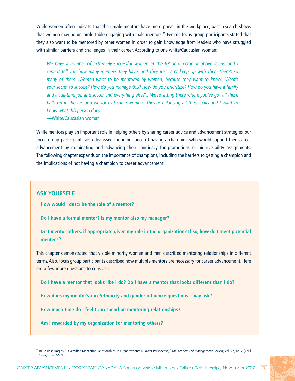While women often indicate that their male mentors have more power in the workplace, past research shows that women may be uncomfortable engaging with male mentors.<sup>33</sup> Female focus group participants stated that they also want to be mentored by other women in order to gain knowledge from leaders who have struggled with similar barriers and challenges in their career. According to one white/Caucasian woman:

*We have a number of extremely successful women at the VP or director or above levels, and I cannot tell you how many mentees they have, and they just can't keep up with them there's so many of them…Women want to be mentored by women, because they want to know, 'What's your secret to success? How do you manage this? How do you prioritize? How do you have a family and a full-time job and soccer and everything else?'…We're sitting there where you've got all these balls up in the air, and we look at some women…they're balancing all these balls and I want to know what this person does.*

—White/Caucasian woman

While mentors play an important role in helping others by sharing career advice and advancement strategies, our focus group participants also discussed the importance of having a champion who would support their career advancement by nominating and advancing their candidacy for promotions or high-visibility assignments. The following chapter expands on the importance of champions, including the barriers to getting a champion and the implications of not having a champion to career advancement.

#### **Ask yourself…**

**How would I describe the role of a mentor?**

**Do I have a formal mentor? Is my mentor also my manager?**

**Do I mentor others, if appropriate given my role in the organization? If so, how do I meet potential mentees?**

This chapter demonstrated that visible minority women and men described mentoring relationships in different terms. Also, focus group participants described how multiple mentors are necessary for career advancement. Here are a few more questions to consider:

**Do I have a mentor that looks like I do? Do I have a mentor that looks different than I do?**

**How does my mentor's race/ethnicity and gender influence questions I may ask?**

**How much time do I feel I can spend on mentoring relationships?**

**Am I rewarded by my organization for mentoring others?**

<sup>33</sup> Belle Rose Ragins, "Diversified Mentoring Relationships In Organizations: A Power Perspective," *The Academy of Management Review*, vol. 22, no. 2 (April 1997): p. 482-521.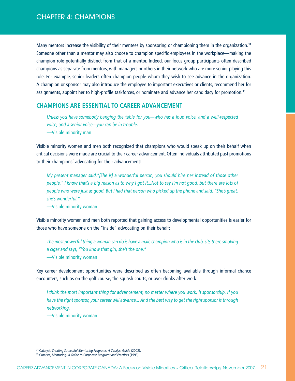Many mentors increase the visibility of their mentees by sponsoring or championing them in the organization.<sup>34</sup> Someone other than a mentor may also choose to champion specific employees in the workplace—making the champion role potentially distinct from that of a mentor. Indeed, our focus group participants often described champions as separate from mentors, with managers or others in their network who are more senior playing this role. For example, senior leaders often champion people whom they wish to see advance in the organization. A champion or sponsor may also introduce the employee to important executives or clients, recommend her for assignments, appoint her to high-profile taskforces, or nominate and advance her candidacy for promotion.35

#### **CHAMPIONS ARE ESSENTIAL TO CAREER ADVANCEMENT**

*Unless you have somebody banging the table for you—who has a loud voice, and a well-respected voice, and a senior voice—you can be in trouble.* —Visible minority man

Visible minority women and men both recognized that champions who would speak up on their behalf when critical decisions were made are crucial to their career advancement. Often individuals attributed past promotions to their champions' advocating for their advancement:

*My present manager said,"[She is] a wonderful person, you should hire her instead of those other people." I know that's a big reason as to why I got it...Not to say I'm not good, but there are lots of people who were just as good. But I had that person who picked up the phone and said, "She's great, she's wonderful."*

—Visible minority woman

Visible minority women and men both reported that gaining access to developmental opportunities is easier for those who have someone on the "inside" advocating on their behalf:

*The most powerful thing a woman can do is have a male champion who is in the club, sits there smoking a cigar and says, "You know that girl, she's the one."*

—Visible minority woman

Key career development opportunities were described as often becoming available through informal chance encounters, such as on the golf course, the squash courts, or over drinks after work:

*I think the most important thing for advancement, no matter where you work, is sponsorship. If you have the right sponsor, your career will advance... And the best way to get the right sponsor is through networking.*

—Visible minority woman

<sup>34</sup> Catalyst, *Creating Successful Mentoring Programs: A Catalyst Guide* (2002).

<sup>35</sup> Catalyst, *Mentoring: A Guide to Corporate Programs and Practices* (1993).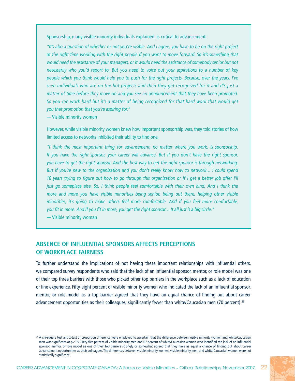Sponsorship, many visible minority individuals explained, is critical to advancement:

*"It's also a question of whether or not you're visible. And I agree, you have to be on the right project at the right time working with the right people if you want to move forward. So it's something that would need the assistance of your managers, or it would need the assistance of somebody senior but not necessarily who you'd report to. But you need to voice out your aspirations to a number of key people which you think would help you to push for the right projects. Because, over the years, I've seen individuals who are on the hot projects and then they get recognized for it and it's just a matter of time before they move on and you see an announcement that they have been promoted. So you can work hard but it's a matter of being recognized for that hard work that would get you that promotion that you're aspiring for."*

*—* Visible minority woman

However, while visible minority women knew how important sponsorship was, they told stories of how limited access to networks inhibited their ability to find one.

*"I think the most important thing for advancement, no matter where you work, is sponsorship. If you have the right sponsor, your career will advance. But if you don't have the right sponsor, you have to get the right sponsor. And the best way to get the right sponsor is through networking. But if you're new to the organization and you don't really know how to network… I could spend 10 years trying to figure out how to go through this organization or if I get a better job offer I'll just go someplace else. So, I think people feel comfortable with their own kind. And I think the more and more you have visible minorities being senior, being out there, helping other visible minorities, it's going to make others feel more comfortable. And if you feel more comfortable, you fit in more. And if you fit in more, you get the right sponsor… It all just is a big circle."*

*—* Visible minority woman

## **ABSENCE OF INFLUENTIAL SPONSORS AFFECTS PERCEPTIONS OF WORKPLACE FAIRNESS**

To further understand the implications of not having these important relationships with influential others, we compared survey respondents who said that the lack of an influential sponsor, mentor, or role model was one of their top three barriers with those who picked other top barriers in the workplace such as a lack of education or line experience. Fifty-eight percent of visible minority women who indicated the lack of an influential sponsor, mentor, or role model as a top barrier agreed that they have an equal chance of finding out about career advancement opportunities as their colleagues, significantly fewer than white/Caucasian men (70 percent).<sup>36</sup>

<sup>36</sup> A chi-square test and z-test of proportion difference were employed to ascertain that the difference between visible minority women and white/Caucasian men was significant at p<.05. Sixty-five percent of visible minority men and 67 percent of white/Caucasian women who identified the lack of an influential sponsor, mentor, or role model as one of their top barriers strongly or somewhat agreed that they have as equal a chance of finding out about career advancement opportunities as their colleagues. The differences between visible minority women, visible minority men, and white/Caucasian women were not statistically significant.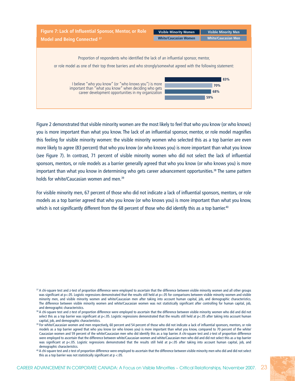| Figure 7: Lack of Influential Sponsor, Mentor, or Role                                                                                                             | <b>Visible Minority Women</b> | <b>Visible Minority Men</b> |
|--------------------------------------------------------------------------------------------------------------------------------------------------------------------|-------------------------------|-----------------------------|
| <b>Model and Being Connected 37</b>                                                                                                                                | <b>White/Caucasian Women</b>  | <b>White/Caucasian Men</b>  |
| Proportion of respondents who identified the lack of an influential sponsor, mentor,                                                                               |                               |                             |
| or role model as one of their top three barriers and who strongly/somewhat agreed with the following statement:                                                    |                               |                             |
| I believe "who you know" (or "who knows you") is more important than "what you know" when deciding who gets<br>career development opportunities in my organization |                               | 83%<br>70%<br>68%<br>59%    |

Figure 2 demonstrated that visible minority women are the most likely to feel that who you know (or who knows) you is more important than what you know. The lack of an influential sponsor, mentor, or role model magnifies this feeling for visible minority women: the visible minority women who selected this as a top barrier are even more likely to agree (83 percent) that who you know (or who knows you) is more important than what you know (see Figure 7). In contrast, 71 percent of visible minority women who did not select the lack of influential sponsors, mentors, or role models as a barrier generally agreed that who you know (or who knows you) is more important than what you know in determining who gets career advancement opportunities.<sup>38</sup> The same pattern holds for white/Caucasian women and men.<sup>39</sup>

For visible minority men, 67 percent of those who did not indicate a lack of influential sponsors, mentors, or role models as a top barrier agreed that who you know (or who knows you) is more important than what you know, which is not significantly different from the 68 percent of those who did identify this as a top barrier.<sup>40</sup>

<sup>&</sup>lt;sup>37</sup> A chi-square test and z-test of proportion difference were employed to ascertain that the difference between visible minority women and all other groups was significant at p<.05. Logistic regressions demonstrated that the results still held at p<.05 for comparisons between visible minority women and visible minority men, and visible minority women and white/Caucasian men after taking into account human capital, job, and demographic characteristics. The difference between visible minority women and white/Caucasian women was not statistically significant after controlling for human capital, job, and demographic characteristics.

<sup>&</sup>lt;sup>38</sup> A chi-square test and z-test of proportion difference were employed to ascertain that the difference between visible minority women who did and did not select this as a top barrier was significant at p<.05. Logistic regressions demonstrated that the results still held at p<.05 after taking into account human capital, job, and demographic characteristics.

<sup>&</sup>lt;sup>39</sup> For white/Caucasian women and men respectively, 60 percent and 54 percent of those who did not indicate a lack of influential sponsors, mentors, or role models as a top barrier agreed that who you know (or who knows you) is more important than what you know, compared to 70 percent of the white/ Caucasian women and 59 percent of the white/Caucasian men who did identify this as a top barrier. A chi-square test and z-test of proportion difference were employed to ascertain that the difference between white/Caucasian women and white/Caucasian men who did and did not select this as a top barrier was significant at p<.05. Logistic regressions demonstrated that the results still held at p<.05 after taking into account human capital, job, and demographic characteristics.

<sup>&</sup>lt;sup>40</sup> A chi-square test and z-test of proportion difference were employed to ascertain that the difference between visible minority men who did and did not select this as a top barrier was not statistically significant at  $p < 05$ .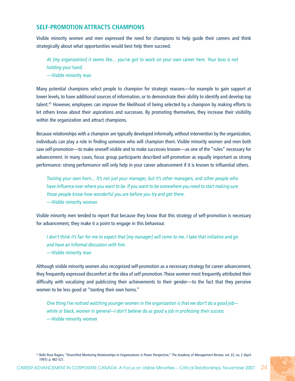## **SELF-PROMOTION ATTRACTS CHAMPIONS**

Visible minority women and men expressed the need for champions to help guide their careers and think strategically about what opportunities would best help them succeed.

*At [my organization] it seems like… you've got to work on your own career here. Your boss is not holding your hand.* —Visible minority man

Many potential champions select people to champion for strategic reasons—for example to gain support at lower levels, to have additional sources of information, or to demonstrate their ability to identify and develop top talent.41 However, employees can improve the likelihood of being selected by a champion by making efforts to let others know about their aspirations and successes. By promoting themselves, they increase their visibility within the organization and attract champions.

Because relationships with a champion are typically developed informally, without intervention by the organization, individuals can play a role in finding someone who will champion them. Visible minority women and men both saw self-promotion—to make oneself visible and to make successes known—as one of the "rules" necessary for advancement. In many cases, focus group participants described self-promotion as equally important as strong performance: strong performance will only help in your career advancement if it is known to influential others.

*Tooting your own horn… It's not just your manager, but it's other managers, and other people who have influence over where you want to be. If you want to be somewhere you need to start making sure those people know how wonderful you are before you try and get there.* —Visible minority woman

Visible minority men tended to report that because they know that this strategy of self-promotion is necessary for advancement, they make it a point to engage in this behaviour.

*I don't think it's fair for me to expect that [my manager] will come to me. I take that initiative and go and have an informal discussion with him.* —Visible minority man

Although visible minority women also recognized self-promotion as a necessary strategy for career advancement, they frequently expressed discomfort at the idea of self-promotion. These women most frequently attributed their difficulty with vocalizing and publicizing their achievements to their gender—to the fact that they perceive women to be less good at "tooting their own horns."

*One thing I've noticed watching younger women in the organization is that we don't do a good job white or black, women in general—I don't believe do as good a job in professing their success.* —Visible minority woman

<sup>41</sup> Belle Rose Ragins, "Diversified Mentoring Relationships In Organizations: A Power Perspective," *The Academy of Management Review*, vol. 22, no. 2 (April 1997): p. 482-521.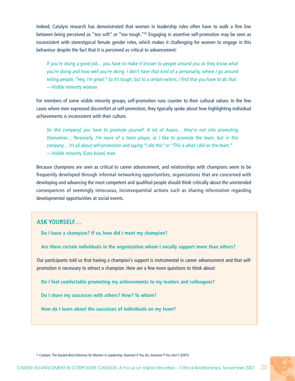Indeed, Catalyst research has demonstrated that women in leadership roles often have to walk a fine line between being perceived as "too soft" or "too tough."<sup>42</sup> Engaging in assertive self-promotion may be seen as inconsistent with stereotypical female gender roles, which makes it challenging for women to engage in this behaviour despite the fact that it is perceived as critical to advancement:

*If you're doing a good job… you have to make it known to people around you so they know what you're doing and how well you're doing. I don't have that kind of a personality, where I go around telling people, "Hey, I'm great." So it's tough, but to a certain extent, I find that you have to do that.* —Visible minority woman

For members of some visible minority groups, self-promotion runs counter to their cultural values. In the few cases where men expressed discomfort at self-promotion, they typically spoke about how highlighting individual achievements is inconsistent with their culture.

*[In this company] you have to promote yourself. A lot of Asians… they're not into promoting themselves… Personally, I'm more of a team player, so I like to promote the team, but in this company… it's all about self-promotion and saying "I did this" or "This is what I did on the team."* —Visible minority (East Asian) man

Because champions are seen as critical to career advancement, and relationships with champions seem to be frequently developed through informal networking opportunities, organizations that are concerned with developing and advancing the most competent and qualified people should think critically about the unintended consequences of seemingly innocuous, inconsequential actions such as sharing information regarding developmental opportunities at social events.

## **Ask yourself…**

**Do I have a champion? If so, how did I meet my champion?**

**Are there certain individuals in the organization whom I vocally support more than others?**

Our participants told us that having a champion's support is instrumental in career advancement and that selfpromotion is necessary to attract a champion. Here are a few more questions to think about:

**Do I feel comfortable promoting my achievements to my leaders and colleagues?**

**Do I share my successes with others? How? To whom?**

**How do I learn about the successes of individuals on my team?**

42 Catalyst, *The Double-Bind Dilemma for Women in Leadership: Damned if You Do, Doomed if You Don't* (2007).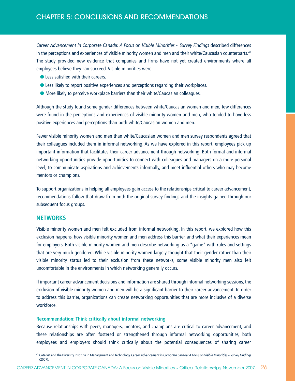*Career Advancement in Corporate Canada: A Focus on Visible Minorities ~ Survey Findings* described differences in the perceptions and experiences of visible minority women and men and their white/Caucasian counterparts.43 The study provided new evidence that companies and firms have not yet created environments where all employees believe they can succeed. Visible minorities were:

- **less satisfied with their careers.**
- **Example 2** Less likely to report positive experiences and perceptions regarding their workplaces.
- More likely to perceive workplace barriers than their white/Caucasian colleagues.

Although the study found some gender differences between white/Caucasian women and men, few differences were found in the perceptions and experiences of visible minority women and men, who tended to have less positive experiences and perceptions than both white/Caucasian women and men.

Fewer visible minority women and men than white/Caucasian women and men survey respondents agreed that their colleagues included them in informal networking. As we have explored in this report, employees pick up important information that facilitates their career advancement through networking. Both formal and informal networking opportunities provide opportunities to connect with colleagues and managers on a more personal level, to communicate aspirations and achievements informally, and meet influential others who may become mentors or champions.

To support organizations in helping all employees gain access to the relationships critical to career advancement, recommendations follow that draw from both the original survey findings and the insights gained through our subsequent focus groups.

## **NETWORKS**

Visible minority women and men felt excluded from informal networking. In this report, we explored how this exclusion happens, how visible minority women and men address this barrier, and what their experiences mean for employers. Both visible minority women and men describe networking as a "game" with rules and settings that are very much gendered. While visible minority women largely thought that their gender rather than their visible minority status led to their exclusion from these networks, some visible minority men also felt uncomfortable in the environments in which networking generally occurs.

If important career advancement decisions and information are shared through informal networking sessions, the exclusion of visible minority women and men will be a significant barrier to their career advancement. In order to address this barrier, organizations can create networking opportunities that are more inclusive of a diverse workforce.

#### **Recommendation: Think critically about informal networking**

Because relationships with peers, managers, mentors, and champions are critical to career advancement, and these relationships are often fostered or strengthened through informal networking opportunities, both employees and employers should think critically about the potential consequences of sharing career

<sup>43</sup> Catalyst and The Diversity Institute in Management and Technology, *Career Advancement in Corporate Canada: A Focus on Visible Minorities ~ Survey Findings* (2007).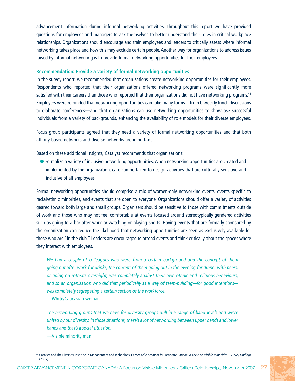advancement information during informal networking activities. Throughout this report we have provided questions for employees and managers to ask themselves to better understand their roles in critical workplace relationships. Organizations should encourage and train employees and leaders to critically assess where informal networking takes place and how this may exclude certain people. Another way for organizations to address issues raised by informal networking is to provide formal networking opportunities for their employees.

#### **Recommendation: Provide a variety of formal networking opportunities**

In the survey report, we recommended that organizations create networking opportunities for their employees. Respondents who reported that their organizations offered networking programs were significantly more satisfied with their careers than those who reported that their organizations did not have networking programs.<sup>44</sup> Employers were reminded that networking opportunities can take many forms—from biweekly lunch discussions to elaborate conferences—and that organizations can use networking opportunities to showcase successful individuals from a variety of backgrounds, enhancing the availability of role models for their diverse employees.

Focus group participants agreed that they need a variety of formal networking opportunities and that both affinity-based networks and diverse networks are important.

Based on these additional insights, Catalyst recommends that organizations:

**•** Formalize a variety of inclusive networking opportunities. When networking opportunities are created and implemented by the organization, care can be taken to design activities that are culturally sensitive and inclusive of all employees.

Formal networking opportunities should comprise a mix of women-only networking events, events specific to racial/ethnic minorities, and events that are open to everyone. Organizations should offer a variety of activities geared toward both large and small groups. Organizers should be sensitive to those with commitments outside of work and those who may not feel comfortable at events focused around stereotypically gendered activities such as going to a bar after work or watching or playing sports. Having events that are formally sponsored by the organization can reduce the likelihood that networking opportunities are seen as exclusively available for those who are "in the club." Leaders are encouraged to attend events and think critically about the spaces where they interact with employees.

*We had a couple of colleagues who were from a certain background and the concept of them going out after work for drinks, the concept of them going out in the evening for dinner with peers, or going on retreats overnight, was completely against their own ethnic and religious behaviours, and so an organization who did that periodically as a way of team-building—for good intentions was completely segregating a certain section of the workforce.*

—White/Caucasian woman

*The networking groups that we have for diversity groups pull in a range of band levels and we're united by our diversity. In those situations, there's a lot of networking between upper bands and lower bands and that's a social situation.*

—Visible minority man

<sup>44</sup> Catalyst and The Diversity Institute in Management and Technology, *Career Advancement in Corporate Canada: A Focus on Visible Minorities ~ Survey Findings* (2007).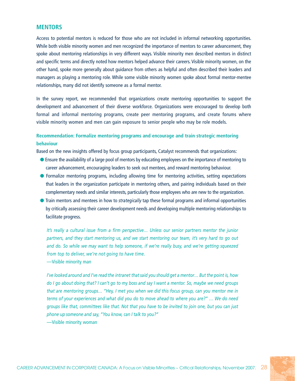#### **MENTORS**

Access to potential mentors is reduced for those who are not included in informal networking opportunities. While both visible minority women and men recognized the importance of mentors to career advancement, they spoke about mentoring relationships in very different ways. Visible minority men described mentors in distinct and specific terms and directly noted how mentors helped advance their careers. Visible minority women, on the other hand, spoke more generally about guidance from others as helpful and often described their leaders and managers as playing a mentoring role. While some visible minority women spoke about formal mentor-mentee relationships, many did not identify someone as a formal mentor.

In the survey report, we recommended that organizations create mentoring opportunities to support the development and advancement of their diverse workforce. Organizations were encouraged to develop both formal and informal mentoring programs, create peer mentoring programs, and create forums where visible minority women and men can gain exposure to senior people who may be role models.

## **Recommendation: Formalize mentoring programs and encourage and train strategic mentoring behaviour**

Based on the new insights offered by focus group participants, Catalyst recommends that organizations:

- l Ensure the availability of a large pool of mentors by educating employees on the importance of mentoring to career advancement, encouraging leaders to seek out mentees, and reward mentoring behaviour.
- **•** Formalize mentoring programs, including allowing time for mentoring activities, setting expectations that leaders in the organization participate in mentoring others, and pairing individuals based on their complementary needs and similar interests, particularly those employees who are new to the organization.
- l Train mentors and mentees in how to *strategically* tap these formal programs and informal opportunities by critically assessing their career development needs and developing multiple mentoring relationships to facilitate progress.

*It's really a cultural issue from a firm perspective… Unless our senior partners mentor the junior partners, and they start mentoring us, and we start mentoring our team, it's very hard to go out and do. So while we may want to help someone, if we're really busy, and we're getting squeezed from top to deliver, we're not going to have time.*

—Visible minority man

*I've looked around and I've read the intranet that said you should get a mentor… But the point is, how do I go about doing that? I can't go to my boss and say I want a mentor. So, maybe we need groups that are mentoring groups… "Hey, I met you when we did this focus group, can you mentor me in terms of your experiences and what did you do to move ahead to where you are?" … We do need groups like that, committees like that. Not that you have to be invited to join one, but you can just phone up someone and say, "You know, can I talk to you?"*

—Visible minority woman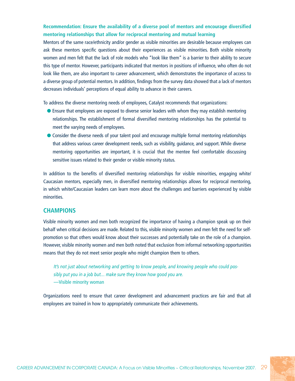## **Recommendation: Ensure the availability of a diverse pool of mentors and encourage diversified mentoring relationships that allow for reciprocal mentoring and mutual learning**

Mentors of the same race/ethnicity and/or gender as visible minorities are desirable because employees can ask these mentors specific questions about their experiences as visible minorities. Both visible minority women and men felt that the lack of role models who "look like them" is a barrier to their ability to secure this type of mentor. However, participants indicated that mentors in positions of influence, who often do not look like them, are also important to career advancement, which demonstrates the importance of access to a diverse group of potential mentors. In addition, findings from the survey data showed that a lack of mentors decreases individuals' perceptions of equal ability to advance in their careers.

To address the diverse mentoring needs of employees, Catalyst recommends that organizations:

- **•** Ensure that employees are exposed to diverse senior leaders with whom they may establish mentoring relationships. The establishment of formal diversified mentoring relationships has the potential to meet the varying needs of employees.
- l Consider the diverse needs of your talent pool and encourage multiple formal mentoring relationships that address various career development needs, such as visibility, guidance, and support. While diverse mentoring opportunities are important, it is crucial that the mentee feel comfortable discussing sensitive issues related to their gender or visible minority status.

In addition to the benefits of diversified mentoring relationships for visible minorities, engaging white/ Caucasian mentors, especially men, in diversified mentoring relationships allows for reciprocal mentoring, in which white/Caucasian leaders can learn more about the challenges and barriers experienced by visible minorities.

#### **CHAMPIONS**

Visible minority women and men both recognized the importance of having a champion speak up on their behalf when critical decisions are made. Related to this, visible minority women and men felt the need for selfpromotion so that others would know about their successes and potentially take on the role of a champion. However, visible minority women and men both noted that exclusion from informal networking opportunities means that they do not meet senior people who might champion them to others.

*It's not just about networking and getting to know people, and knowing people who could possibly put you in a job but… make sure they know how good you are.*

—Visible minority woman

Organizations need to ensure that career development and advancement practices are fair and that all employees are trained in how to appropriately communicate their achievements.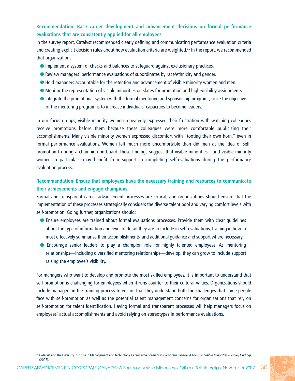## **Recommendation: Base career development and advancement decisions on formal performance evaluations that are consistently applied for all employees**

In the survey report, Catalyst recommended clearly defining and communicating performance evaluation criteria and creating explicit decision rules about how evaluation criteria are weighted.<sup>45</sup> In the report, we recommended that organizations:

- l Implement a system of checks and balances to safeguard against exclusionary practices.
- **•** Review managers' performance evaluations of subordinates by race/ethnicity and gender.
- l Hold managers accountable for the retention and advancement of visible minority women and men.
- l Monitor the representation of visible minorities on slates for promotion and high-visibility assignments.
- l Integrate the promotional system with the formal mentoring and sponsorship programs, since the objective of the mentoring program is to increase individuals' capacities to become leaders.

In our focus groups, visible minority women repeatedly expressed their frustration with watching colleagues receive promotions before them because these colleagues were more comfortable publicizing their accomplishments. Many visible minority women expressed discomfort with "tooting their own horn," even in formal performance evaluations. Women felt much more uncomfortable than did men at the idea of selfpromotion to bring a champion on board. These findings suggest that visible minorities—and visible minority women in particular—may benefit from support in completing self-evaluations during the performance evaluation process.

## **Recommendation: Ensure that employees have the necessary training and resources to communicate their achievements and engage champions**

Formal and transparent career advancement processes are critical, and organizations should ensure that the implementation of these processes strategically considers the diverse talent pool and varying comfort levels with self-promotion. Going further, organizations should:

- **•** Ensure employees are trained about formal evaluations processes. Provide them with clear guidelines about the type of information and level of detail they are to include in self-evaluations, training in how to most effectively summarize their accomplishments, and additional guidance and support where necessary.
- **•** Encourage senior leaders to play a champion role for highly talented employees. As mentoring relationships—including diversified mentoring relationships—develop, they can grow to include support raising the employee's visibility.

For managers who want to develop and promote the most skilled employees, it is important to understand that self-promotion is challenging for employees when it runs counter to their cultural values. Organizations should include managers in the training process to ensure that they understand both the challenges that some people face with self-promotion as well as the potential talent management concerns for organizations that rely on self-promotion for talent identification. Having formal and transparent processes will help managers focus on employees' actual accomplishments and avoid relying on stereotypes in performance evaluations.

<sup>45</sup> Catalyst and The Diversity Institute in Management and Technology, *Career Advancement in Corporate Canada: A Focus on Visible Minorities ~ Survey Findings*  $(2007)$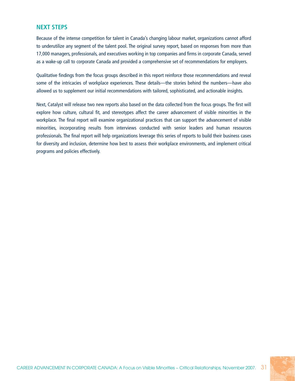## **NEXT STEPS**

Because of the intense competition for talent in Canada's changing labour market, organizations cannot afford to underutilize any segment of the talent pool. The original survey report, based on responses from more than 17,000 managers, professionals, and executives working in top companies and firms in corporate Canada, served as a wake-up call to corporate Canada and provided a comprehensive set of recommendations for employers.

Qualitative findings from the focus groups described in this report reinforce those recommendations and reveal some of the intricacies of workplace experiences. These details—the stories behind the numbers—have also allowed us to supplement our initial recommendations with tailored, sophisticated, and actionable insights.

Next, Catalyst will release two new reports also based on the data collected from the focus groups. The first will explore how culture, cultural fit, and stereotypes affect the career advancement of visible minorities in the workplace. The final report will examine organizational practices that can support the advancement of visible minorities, incorporating results from interviews conducted with senior leaders and human resources professionals. The final report will help organizations leverage this series of reports to build their business cases for diversity and inclusion, determine how best to assess their workplace environments, and implement critical programs and policies effectively.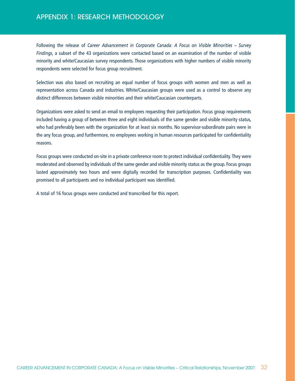# APPENDIX 1: RESEARCH METHODOLOGY

Following the release of *Career Advancement in Corporate Canada: A Focus on Visible Minorities ~ Survey Findings*, a subset of the 43 organizations were contacted based on an examination of the number of visible minority and white/Caucasian survey respondents. Those organizations with higher numbers of visible minority respondents were selected for focus group recruitment.

Selection was also based on recruiting an equal number of focus groups with women and men as well as representation across Canada and industries. White/Caucasian groups were used as a control to observe any distinct differences between visible minorities and their white/Caucasian counterparts.

Organizations were asked to send an email to employees requesting their participation. Focus group requirements included having a group of between three and eight individuals of the same gender and visible minority status, who had preferably been with the organization for at least six months. No supervisor-subordinate pairs were in the any focus group, and furthermore, no employees working in human resources participated for confidentiality reasons.

Focus groups were conducted on-site in a private conference room to protect individual confidentiality. They were moderated and observed by individuals of the same gender and visible minority status as the group. Focus groups lasted approximately two hours and were digitally recorded for transcription purposes. Confidentiality was promised to all participants and no individual participant was identified.

A total of 16 focus groups were conducted and transcribed for this report.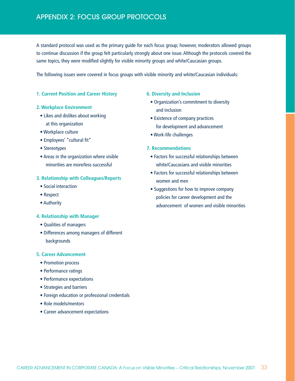A standard protocol was used as the primary guide for each focus group; however, moderators allowed groups to continue discussion if the group felt particularly strongly about one issue. Although the protocols covered the same topics, they were modified slightly for visible minority groups and white/Caucasian groups.

The following issues were covered in focus groups with visible minority and white/Caucasian individuals:

#### **1. Current Position and Career History**

#### **2. Workplace Environment**

- Likes and dislikes about working at this organization
- Workplace culture
- Employees' "cultural fit"
- Stereotypes
- Areas in the organization where visible minorities are more/less successful

#### **3. Relationship with Colleagues/Reports**

- Social interaction
- Respect
- Authority

#### **4. Relationship with Manager**

- Qualities of managers
- Differences among managers of different backgrounds

#### **5. Career Advancement**

- Promotion process
- Performance ratings
- Performance expectations
- Strategies and barriers
- Foreign education or professional credentials
- Role models/mentors
- Career advancement expectations

#### **6. Diversity and Inclusion**

- Organization's commitment to diversity and inclusion
- Existence of company practices for development and advancement
- Work-life challenges

#### **7. Recommendations**

- Factors for successful relationships between white/Caucasians and visible minorities
- Factors for successful relationships between women and men
- Suggestions for how to improve company policies for career development and the advancement of women and visible minorities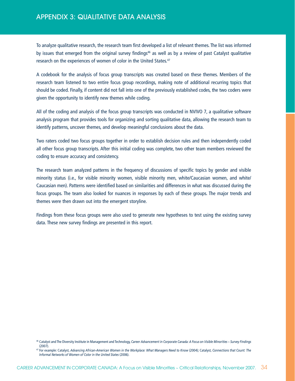To analyze qualitative research, the research team first developed a list of relevant themes. The list was informed by issues that emerged from the original survey findings<sup>46</sup> as well as by a review of past Catalyst qualitative research on the experiences of women of color in the United States.<sup>47</sup>

A codebook for the analysis of focus group transcripts was created based on these themes. Members of the research team listened to two entire focus group recordings, making note of additional recurring topics that should be coded. Finally, if content did not fall into one of the previously established codes, the two coders were given the opportunity to identify new themes while coding.

All of the coding and analysis of the focus group transcripts was conducted in NVIVO 7, a qualitative software analysis program that provides tools for organizing and sorting qualitative data, allowing the research team to identify patterns, uncover themes, and develop meaningful conclusions about the data.

Two raters coded two focus groups together in order to establish decision rules and then independently coded all other focus group transcripts. After this initial coding was complete, two other team members reviewed the coding to ensure accuracy and consistency.

The research team analyzed patterns in the frequency of discussions of specific topics by gender and visible minority status (i.e., for visible minority women, visible minority men, white/Caucasian women, and white/ Caucasian men). Patterns were identified based on similarities and differences in what was discussed during the focus groups. The team also looked for nuances in responses by each of these groups. The major trends and themes were then drawn out into the emergent storyline.

Findings from these focus groups were also used to generate new hypotheses to test using the existing survey data. These new survey findings are presented in this report.

<sup>46</sup> Catalyst and The Diversity Institute in Management and Technology, *Career Advancement in Corporate Canada: A Focus on Visible Minorities ~ Survey Findings* (2007).

<sup>47</sup> For example: Catalyst, *Advancing African-American Women in the Workplace: What Managers Need to Know* (2004); Catalyst, *Connections that Count: The Informal Networks of Women of Color in the United States* (2006).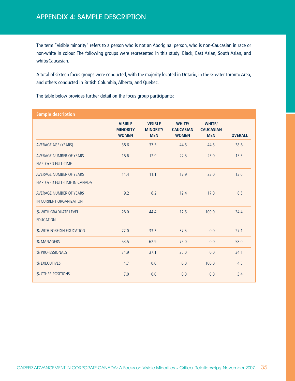# APPENDIX 4: SAMPLE DESCRIPTION

The term "visible minority" refers to a person who is not an Aboriginal person, who is non-Caucasian in race or non-white in colour. The following groups were represented in this study: Black, East Asian, South Asian, and white/Caucasian.

A total of sixteen focus groups were conducted, with the majority located in Ontario, in the Greater Toronto Area, and others conducted in British Columbia, Alberta, and Quebec.

The table below provides further detail on the focus group participants:

| <b>Sample description</b>                               |                                                   |                                                 |                                            |                                          |                |
|---------------------------------------------------------|---------------------------------------------------|-------------------------------------------------|--------------------------------------------|------------------------------------------|----------------|
|                                                         | <b>VISIBLE</b><br><b>MINORITY</b><br><b>WOMEN</b> | <b>VISIBLE</b><br><b>MINORITY</b><br><b>MEN</b> | WHITE/<br><b>CAUCASIAN</b><br><b>WOMEN</b> | WHITE/<br><b>CAUCASIAN</b><br><b>MEN</b> | <b>OVERALL</b> |
| AVERAGE AGE (YEARS)                                     | 38.6                                              | 37.5                                            | 44.5                                       | 44.5                                     | 38.8           |
| AVERAGE NUMBER OF YEARS<br><b>EMPLOYED FULL-TIME</b>    | 15.6                                              | 12.9                                            | 22.5                                       | 23.0                                     | 15.3           |
| AVERAGE NUMBER OF YEARS<br>EMPLOYED FULL-TIME IN CANADA | 14.4                                              | 11.1                                            | 17.9                                       | 23.0                                     | 13.6           |
| AVERAGE NUMBER OF YEARS<br>IN CURRENT ORGANIZATION      | 9.2                                               | 6.2                                             | 12.4                                       | 17.0                                     | 8.5            |
| % WITH GRADUATE LEVEL<br><b>EDUCATION</b>               | 28.0                                              | 44.4                                            | 12.5                                       | 100.0                                    | 34.4           |
| % WITH FOREIGN EDUCATION                                | 22.0                                              | 33.3                                            | 37.5                                       | 0.0                                      | 27.1           |
| % MANAGERS                                              | 53.5                                              | 62.9                                            | 75.0                                       | 0.0                                      | 58.0           |
| % PROFESSIONALS                                         | 34.9                                              | 37.1                                            | 25.0                                       | 0.0                                      | 34.1           |
| % EXECUTIVES                                            | 4.7                                               | 0.0                                             | 0.0                                        | 100.0                                    | 4.5            |
| % OTHER POSITIONS                                       | 7.0                                               | 0.0                                             | 0.0                                        | 0.0                                      | 3.4            |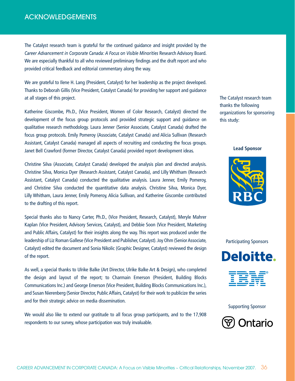# **ACKNOWLEDGEMENTS**

The Catalyst research team is grateful for the continued guidance and insight provided by the *Career Advancement in Corporate Canada: A Focus on Visible Minorities* Research Advisory Board. We are especially thankful to all who reviewed preliminary findings and the draft report and who provided critical feedback and editorial commentary along the way.

We are grateful to Ilene H. Lang (President, Catalyst) for her leadership as the project developed. Thanks to Deborah Gillis (Vice President, Catalyst Canada) for providing her support and guidance at all stages of this project.

Katherine Giscombe, Ph.D., (Vice President, Women of Color Research, Catalyst) directed the development of the focus group protocols and provided strategic support and guidance on qualitative research methodology. Laura Jenner (Senior Associate, Catalyst Canada) drafted the focus group protocols. Emily Pomeroy (Associate, Catalyst Canada) and Alicia Sullivan (Research Assistant, Catalyst Canada) managed all aspects of recruiting and conducting the focus groups. Janet Bell Crawford (former Director, Catalyst Canada) provided report development ideas.

Christine Silva (Associate, Catalyst Canada) developed the analysis plan and directed analysis. Christine Silva, Monica Dyer (Research Assistant, Catalyst Canada), and Lilly Whitham (Research Assistant, Catalyst Canada) conducted the qualitative analysis. Laura Jenner, Emily Pomeroy, and Christine Silva conducted the quantitative data analysis. Christine Silva, Monica Dyer, Lilly Whitham, Laura Jenner, Emily Pomeroy, Alicia Sullivan, and Katherine Giscombe contributed to the drafting of this report.

Special thanks also to Nancy Carter, Ph.D., (Vice President, Research, Catalyst), Meryle Mahrer Kaplan (Vice President, Advisory Services, Catalyst), and Debbie Soon (Vice President, Marketing and Public Affairs, Catalyst) for their insights along the way. This report was produced under the leadership of Liz Roman Gallese (Vice President and Publisher, Catalyst). Joy Ohm (Senior Associate, Catalyst) edited the document and Sonia Nikolic (Graphic Designer, Catalyst) reviewed the design of the report.

As well, a special thanks to Ulrike Balke (Art Director, Ulrike Balke Art & Design), who completed the design and layout of the report; to Charmain Emerson (President, Building Blocks Communications Inc.) and George Emerson (Vice President, Building Blocks Communications Inc.), and Susan Nierenberg (Senior Director, Public Affairs, Catalyst) for their work to publicize the series and for their strategic advice on media dissemination.

We would also like to extend our gratitude to all focus group participants, and to the 17,908 respondents to our survey, whose participation was truly invaluable.

The Catalyst research team thanks the following organizations for sponsoring this study:

#### **Lead Sponsor**



Participating Sponsors





Supporting Sponsor

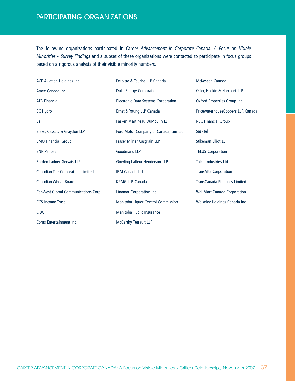# PArticipating Organizations

The following organizations participated in *Career Advancement in Corporate Canada: A Focus on Visible Minorities ~ Survey Findings* and a subset of these organizations were contacted to participate in focus groups based on a rigorous analysis of their visible minority numbers.

| <b>ACE Aviation Holdings Inc.</b>   | Deloitte & Touche LLP Canada               |
|-------------------------------------|--------------------------------------------|
| Amex Canada Inc.                    | <b>Duke Energy Corporation</b>             |
| <b>ATB Financial</b>                | <b>Electronic Data Systems Corporation</b> |
| <b>BC Hydro</b>                     | Ernst & Young LLP Canada                   |
| Bell                                | <b>Fasken Martineau DuMoulin LLP</b>       |
| Blake, Cassels & Graydon LLP        | Ford Motor Company of Canada, Limited      |
| <b>BMO Financial Group</b>          | Fraser Milner Casgrain LLP                 |
| <b>BNP Paribas</b>                  | <b>Goodmans LLP</b>                        |
| Borden Ladner Gervais LLP           | <b>Gowling Lafleur Henderson LLP</b>       |
| Canadian Tire Corporation, Limited  | IBM Canada Ltd.                            |
| <b>Canadian Wheat Board</b>         | <b>KPMG LLP Canada</b>                     |
| CanWest Global Communications Corp. | Linamar Corporation Inc.                   |
| <b>CCS Income Trust</b>             | Manitoba Liquor Control Commission         |
| <b>CIBC</b>                         | Manitoba Public Insurance                  |
| Corus Entertainment Inc.            | McCarthy Tétrault LLP                      |

Oxford Properties Group Inc. PricewaterhouseCoopers LLP, Canada RBC Financial Group SaskTel Stikeman Elliot LLP TELUS Corporation Tolko Industries Ltd. TransAlta Corporation TransCanada Pipelines Limited Wal-Mart Canada Corporation Wolseley Holdings Canada Inc.

McKesson Canada

Osler, Hoskin & Harcourt LLP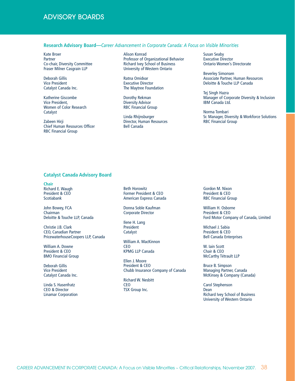## Advisory Boards

#### **Research Advisory Board—***Career Advancement in Corporate Canada: A Focus on Visible Minorities*

Kate Broer Partner Co-chair, Diversity Committee Fraser Milner Casgrain LLP

Deborah Gillis Vice President Catalyst Canada Inc.

Katherine Giscombe Vice President, Women of Color Research Catalyst

Zabeen Hirji Chief Human Resources Officer RBC Financial Group

Alison Konrad Professor of Organizational Behavior Richard Ivey School of Business University of Western Ontario

Ratna Omidvar Executive Director The Maytree Foundation

Dorothy Rekman Diversity Advisor RBC Financial Group

Linda Rhijnsburger Director, Human Resources Bell Canada

Susan Seaby Executive Director Ontario Women's Directorate

Beverley Simonsen Associate Partner, Human Resources Deloitte & Touche LLP Canada

Tej Singh Hazra Manager of Corporate Diversity & Inclusion IBM Canada Ltd.

Norma Tombari Sr. Manager, Diversity & Workforce Solutions RBC Financial Group

#### **Catalyst Canada Advisory Board**

**Chair** Richard E. Waugh President & CEO Scotiabank

John Bowey, FCA Chairman Deloitte & Touche LLP, Canada

Christie J.B. Clark CEO, Canadian Partner PricewaterhouseCoopers LLP, Canada

William A. Downe President & CEO BMO Financial Group

Deborah Gillis Vice President Catalyst Canada Inc.

Linda S. Hasenfratz CEO & Director Linamar Corporation Beth Horowitz Former President & CEO American Express Canada

Donna Soble Kaufman Corporate Director

Ilene H. Lang President **Catalyst** 

William A. MacKinnon CEO KPMG LLP Canada

Ellen J. Moore President & CEO Chubb Insurance Company of Canada

Richard W. Nesbitt **CEO** TSX Group Inc.

Gordon M. Nixon President & CEO RBC Financial Group

William H. Osborne President & CEO Ford Motor Company of Canada, Limited

Michael J. Sabia President & CEO Bell Canada Enterprises

W. Iain Scott Chair & CEO McCarthy Tétrault LLP

Bruce B. Simpson Managing Partner, Canada McKinsey & Company (Canada)

Carol Stephenson Dean Richard Ivey School of Business University of Western Ontario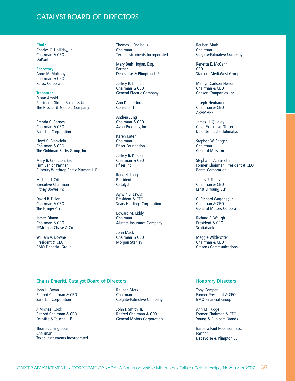## Catalyst Board of directors

**Chair**  Charles O. Holliday, Jr. Chairman & CEO DuPont

**Secretary** Anne M. Mulcahy Chairman & CEO Xerox Corporation

**Treasurer** Susan Arnold President, Global Business Units The Procter & Gamble Company

Brenda C. Barnes Chairman & CEO Sara Lee Corporation

Lloyd C. Blankfein Chairman & CEO The Goldman Sachs Group, Inc.

Mary B. Cranston, Esq. Firm Senior Partner Pillsbury Winthrop Shaw Pittman LLP

Michael J. Critelli Executive Chairman Pitney Bowes Inc.

David B. Dillon Chairman & CEO The Kroger Co.

James Dimon Chairman & CEO JPMorgan Chase & Co.

William A. Downe President & CEO BMO Financial Group Thomas J. Engibous Chairman Texas Instruments Incorporated

Mary Beth Hogan, Esq. Partner Debevoise & Plimpton LLP

Jeffrey R. Immelt Chairman & CEO General Electric Company

Ann Dibble Jordan **Consultant** 

Andrea Jung Chairman & CEO Avon Products, Inc.

Karen Katen Chairman Pfizer Foundation

Jeffrey B. Kindler Chairman & CEO Pfizer Inc

Ilene H. Lang President Catalyst

Aylwin B. Lewis President & CEO Sears Holdings Corporation

Edward M. Liddy Chairman Allstate Insurance Company

John Mack Chairman & CEO Morgan Stanley

Reuben Mark Chairman Colgate-Palmolive Company

Renetta E. McCann CEO Starcom MediaVest Group

Marilyn Carlson Nelson Chairman & CEO Carlson Companies, Inc.

Joseph Neubauer Chairman & CEO ARAMARK

James H. Quigley Chief Executive Officer Deloitte Touche Tohmatsu

Stephen W. Sanger Chairman General Mills, Inc.

Stephanie A. Streeter Former Chairman, President & CEO Banta Corporation

James S. Turley Chairman & CEO Ernst & Young LLP

G. Richard Wagoner, Jr. Chairman & CEO General Motors Corporation

Richard E. Waugh President & CEO Scotiabank

Maggie Wilderotter Chairman & CEO Citizens Communications

#### **Chairs Emeriti, Catalyst Board of Directors**

John H. Bryan Retired Chairman & CEO Sara Lee Corporation

J. Michael Cook Retired Chairman & CEO Deloitte & Touche LLP

Thomas J. Engibous Chairman Texas Instruments Incorporated Reuben Mark Chairman Colgate-Palmolive Company

John F. Smith, Jr. Retired Chairman & CEO General Motors Corporation

#### **Honorary Directors**

Tony Comper Former President & CEO BMO Financial Group

Ann M. Fudge Former Chairman & CEO Young & Rubicam Brands

Barbara Paul Robinson, Esq. Partner Debevoise & Plimpton LLP